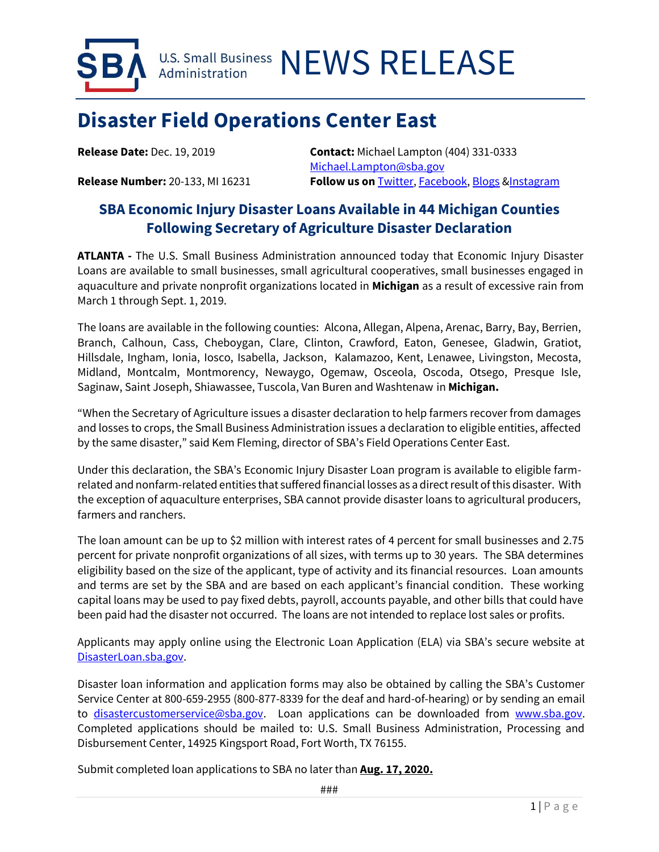U.S. Small Business NEWS RELEASE Administration

## **Disaster Field Operations Center East**

**Release Date:** Dec. 19, 2019 **Contact:** Michael Lampton (404) 331-0333 [Michael.Lampton@sba.gov](mailto:Michael.Lampton@sba.gov) **Release Number:** 20-133, MI 16231 **Follow us on** [Twitter,](http://www.twitter.com/SBAgov) [Facebook,](http://www.facebook.com/sbagov) [Blogs](http://www.sba.gov/blogs) [&Instagram](https://www.instagram.com/sbagov/)

## **SBA Economic Injury Disaster Loans Available in 44 Michigan Counties Following Secretary of Agriculture Disaster Declaration**

**ATLANTA -** The U.S. Small Business Administration announced today that Economic Injury Disaster Loans are available to small businesses, small agricultural cooperatives, small businesses engaged in aquaculture and private nonprofit organizations located in **Michigan** as a result of excessive rain from March 1 through Sept. 1, 2019.

The loans are available in the following counties: Alcona, Allegan, Alpena, Arenac, Barry, Bay, Berrien, Branch, Calhoun, Cass, Cheboygan, Clare, Clinton, Crawford, Eaton, Genesee, Gladwin, Gratiot, Hillsdale, Ingham, Ionia, Iosco, Isabella, Jackson, Kalamazoo, Kent, Lenawee, Livingston, Mecosta, Midland, Montcalm, Montmorency, Newaygo, Ogemaw, Osceola, Oscoda, Otsego, Presque Isle, Saginaw, Saint Joseph, Shiawassee, Tuscola, Van Buren and Washtenaw in **Michigan.**

"When the Secretary of Agriculture issues a disaster declaration to help farmers recover from damages and losses to crops, the Small Business Administration issues a declaration to eligible entities, affected by the same disaster," said Kem Fleming, director of SBA's Field Operations Center East.

Under this declaration, the SBA's Economic Injury Disaster Loan program is available to eligible farmrelated and nonfarm-related entities that suffered financial losses as a direct result of this disaster. With the exception of aquaculture enterprises, SBA cannot provide disaster loans to agricultural producers, farmers and ranchers.

The loan amount can be up to \$2 million with interest rates of 4 percent for small businesses and 2.75 percent for private nonprofit organizations of all sizes, with terms up to 30 years. The SBA determines eligibility based on the size of the applicant, type of activity and its financial resources. Loan amounts and terms are set by the SBA and are based on each applicant's financial condition. These working capital loans may be used to pay fixed debts, payroll, accounts payable, and other bills that could have been paid had the disaster not occurred. The loans are not intended to replace lost sales or profits.

Applicants may apply online using the Electronic Loan Application (ELA) via SBA's secure website at [DisasterLoan.sba.gov.](https://disasterloan.sba.gov/ela/)

Disaster loan information and application forms may also be obtained by calling the SBA's Customer Service Center at 800-659-2955 (800-877-8339 for the deaf and hard-of-hearing) or by sending an email to [disastercustomerservice@sba.gov.](mailto:disastercustomerservice@sba.gov) Loan applications can be downloaded from [www.sba.gov.](http://www.sba.gov/) Completed applications should be mailed to: U.S. Small Business Administration, Processing and Disbursement Center, 14925 Kingsport Road, Fort Worth, TX 76155.

Submit completed loan applications to SBA no later than **Aug. 17, 2020.**